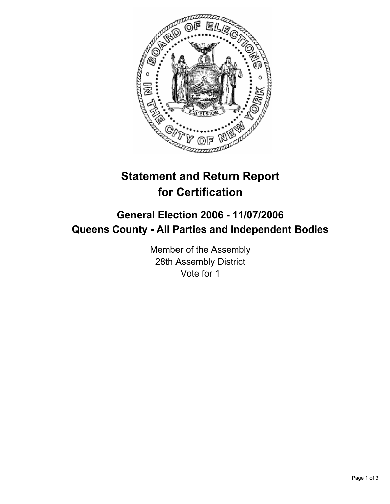

# **Statement and Return Report for Certification**

## **General Election 2006 - 11/07/2006 Queens County - All Parties and Independent Bodies**

Member of the Assembly 28th Assembly District Vote for 1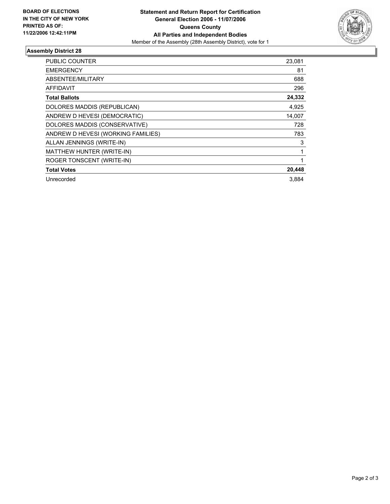

### **Assembly District 28**

| <b>PUBLIC COUNTER</b>              | 23,081 |
|------------------------------------|--------|
| <b>EMERGENCY</b>                   | 81     |
| ABSENTEE/MILITARY                  | 688    |
| <b>AFFIDAVIT</b>                   | 296    |
| <b>Total Ballots</b>               | 24,332 |
| DOLORES MADDIS (REPUBLICAN)        | 4,925  |
| ANDREW D HEVESI (DEMOCRATIC)       | 14,007 |
| DOLORES MADDIS (CONSERVATIVE)      | 728    |
| ANDREW D HEVESI (WORKING FAMILIES) | 783    |
| ALLAN JENNINGS (WRITE-IN)          | 3      |
| MATTHEW HUNTER (WRITE-IN)          |        |
| ROGER TONSCENT (WRITE-IN)          |        |
| <b>Total Votes</b>                 | 20,448 |
| Unrecorded                         | 3.884  |